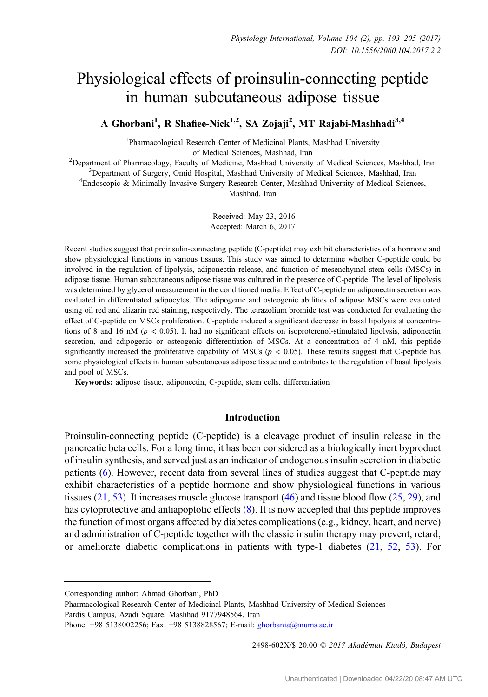# Physiological effects of proinsulin-connecting peptide in human subcutaneous adipose tissue

A Ghorbani<sup>1</sup>, R Shafiee-Nick<sup>1,2</sup>, SA Zojaji<sup>2</sup>, MT Rajabi-Mashhadi<sup>3,4</sup>

<sup>1</sup>Pharmacological Research Center of Medicinal Plants, Mashhad University of Medical Sciences, Mashhad, Iran<br><sup>2</sup>Department of Pharmacology, Eaculty of Medicine, Mashhad University<sup>2</sup>

Department of Pharmacology, Faculty of Medicine, Mashhad University of Medical Sciences, Mashhad, Iran 3 Department of Surgery Omid Hospital, Mashhad Injugrative of Medical Sciences, Mashhad, Iran <sup>3</sup>Department of Surgery, Omid Hospital, Mashhad University of Medical Sciences, Mashhad, Iran

Endoscopic & Minimally Invasive Surgery Research Center, Mashhad University of Medical Sciences,

Mashhad, Iran

Received: May 23, 2016 Accepted: March 6, 2017

Recent studies suggest that proinsulin-connecting peptide (C-peptide) may exhibit characteristics of a hormone and show physiological functions in various tissues. This study was aimed to determine whether C-peptide could be involved in the regulation of lipolysis, adiponectin release, and function of mesenchymal stem cells (MSCs) in adipose tissue. Human subcutaneous adipose tissue was cultured in the presence of C-peptide. The level of lipolysis was determined by glycerol measurement in the conditioned media. Effect of C-peptide on adiponectin secretion was evaluated in differentiated adipocytes. The adipogenic and osteogenic abilities of adipose MSCs were evaluated using oil red and alizarin red staining, respectively. The tetrazolium bromide test was conducted for evaluating the effect of C-peptide on MSCs proliferation. C-peptide induced a significant decrease in basal lipolysis at concentrations of 8 and 16 nM ( $p < 0.05$ ). It had no significant effects on isoproterenol-stimulated lipolysis, adiponectin secretion, and adipogenic or osteogenic differentiation of MSCs. At a concentration of 4 nM, this peptide significantly increased the proliferative capability of MSCs ( $p < 0.05$ ). These results suggest that C-peptide has some physiological effects in human subcutaneous adipose tissue and contributes to the regulation of basal lipolysis and pool of MSCs.

Keywords: adipose tissue, adiponectin, C-peptide, stem cells, differentiation

#### Introduction

Proinsulin-connecting peptide (C-peptide) is a cleavage product of insulin release in the pancreatic beta cells. For a long time, it has been considered as a biologically inert byproduct of insulin synthesis, and served just as an indicator of endogenous insulin secretion in diabetic patients [\(6](#page-10-0)). However, recent data from several lines of studies suggest that C-peptide may exhibit characteristics of a peptide hormone and show physiological functions in various tissues  $(21, 53)$  $(21, 53)$  $(21, 53)$  $(21, 53)$ . It increases muscle glucose transport  $(46)$  $(46)$  and tissue blood flow  $(25, 29)$  $(25, 29)$  $(25, 29)$  $(25, 29)$ , and has cytoprotective and antiapoptotic effects [\(8](#page-10-0)). It is now accepted that this peptide improves the function of most organs affected by diabetes complications (e.g., kidney, heart, and nerve) and administration of C-peptide together with the classic insulin therapy may prevent, retard, or ameliorate diabetic complications in patients with type-1 diabetes  $(21, 52, 53)$  $(21, 52, 53)$  $(21, 52, 53)$  $(21, 52, 53)$  $(21, 52, 53)$  $(21, 52, 53)$ . For

2498-602X/\$ 20.00 C 2017 Akadémiai Kiadó, Budapest

Corresponding author: Ahmad Ghorbani, PhD

Pharmacological Research Center of Medicinal Plants, Mashhad University of Medical Sciences Pardis Campus, Azadi Square, Mashhad 9177948564, Iran

Phone: +98 5138002256; Fax: +98 5138828567; E-mail: [ghorbania@mums.ac.ir](mailto:ghorbania@mums.ac.ir)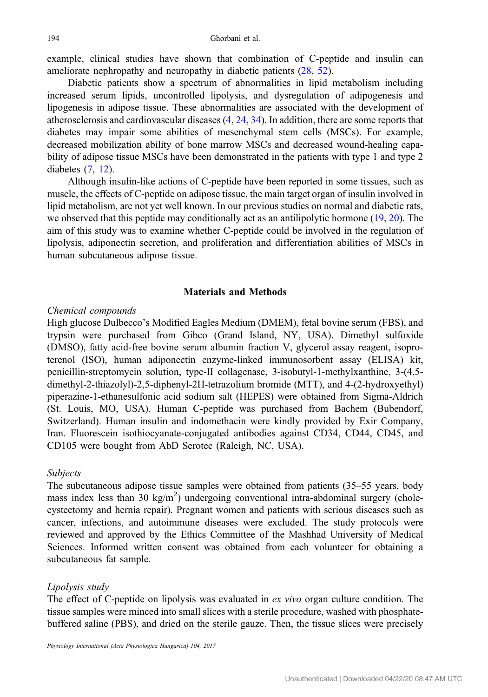example, clinical studies have shown that combination of C-peptide and insulin can ameliorate nephropathy and neuropathy in diabetic patients ([28,](#page-11-0) [52\)](#page-11-0).

Diabetic patients show a spectrum of abnormalities in lipid metabolism including increased serum lipids, uncontrolled lipolysis, and dysregulation of adipogenesis and lipogenesis in adipose tissue. These abnormalities are associated with the development of atherosclerosis and cardiovascular diseases ([4,](#page-10-0) [24](#page-10-0), [34\)](#page-11-0). In addition, there are some reports that diabetes may impair some abilities of mesenchymal stem cells (MSCs). For example, decreased mobilization ability of bone marrow MSCs and decreased wound-healing capability of adipose tissue MSCs have been demonstrated in the patients with type 1 and type 2 diabetes [\(7](#page-10-0), [12](#page-10-0)).

Although insulin-like actions of C-peptide have been reported in some tissues, such as muscle, the effects of C-peptide on adipose tissue, the main target organ of insulin involved in lipid metabolism, are not yet well known. In our previous studies on normal and diabetic rats, we observed that this peptide may conditionally act as an antilipolytic hormone ([19,](#page-10-0) [20](#page-10-0)). The aim of this study was to examine whether C-peptide could be involved in the regulation of lipolysis, adiponectin secretion, and proliferation and differentiation abilities of MSCs in human subcutaneous adipose tissue.

#### Materials and Methods

#### Chemical compounds

High glucose Dulbecco's Modified Eagles Medium (DMEM), fetal bovine serum (FBS), and trypsin were purchased from Gibco (Grand Island, NY, USA). Dimethyl sulfoxide (DMSO), fatty acid-free bovine serum albumin fraction V, glycerol assay reagent, isoproterenol (ISO), human adiponectin enzyme-linked immunosorbent assay (ELISA) kit, penicillin-streptomycin solution, type-II collagenase, 3-isobutyl-1-methylxanthine, 3-(4,5 dimethyl-2-thiazolyl)-2,5-diphenyl-2H-tetrazolium bromide (MTT), and 4-(2-hydroxyethyl) piperazine-1-ethanesulfonic acid sodium salt (HEPES) were obtained from Sigma-Aldrich (St. Louis, MO, USA). Human C-peptide was purchased from Bachem (Bubendorf, Switzerland). Human insulin and indomethacin were kindly provided by Exir Company, Iran. Fluorescein isothiocyanate-conjugated antibodies against CD34, CD44, CD45, and CD105 were bought from AbD Serotec (Raleigh, NC, USA).

#### Subjects

The subcutaneous adipose tissue samples were obtained from patients (35–55 years, body mass index less than  $30 \text{ kg/m}^2$ ) undergoing conventional intra-abdominal surgery (cholecystectomy and hernia repair). Pregnant women and patients with serious diseases such as cancer, infections, and autoimmune diseases were excluded. The study protocols were reviewed and approved by the Ethics Committee of the Mashhad University of Medical Sciences. Informed written consent was obtained from each volunteer for obtaining a subcutaneous fat sample.

#### Lipolysis study

The effect of C-peptide on lipolysis was evaluated in ex vivo organ culture condition. The tissue samples were minced into small slices with a sterile procedure, washed with phosphatebuffered saline (PBS), and dried on the sterile gauze. Then, the tissue slices were precisely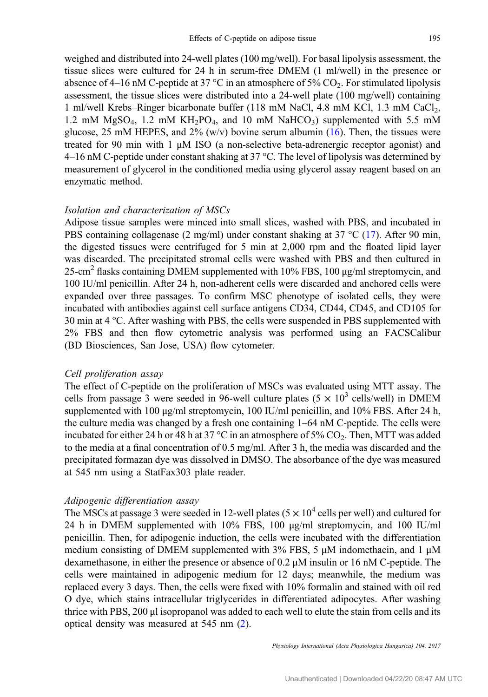weighed and distributed into 24-well plates (100 mg/well). For basal lipolysis assessment, the tissue slices were cultured for 24 h in serum-free DMEM (1 ml/well) in the presence or absence of 4–16 nM C-peptide at 37 °C in an atmosphere of 5%  $CO_2$ . For stimulated lipolysis assessment, the tissue slices were distributed into a 24-well plate (100 mg/well) containing 1 ml/well Krebs–Ringer bicarbonate buffer (118 mM NaCl, 4.8 mM KCl, 1.3 mM CaCl2, 1.2 mM  $MgSO_4$ , 1.2 mM  $KH_2PO_4$ , and 10 mM  $NaHCO_3$ ) supplemented with 5.5 mM glucose, 25 mM HEPES, and  $2\%$  (w/v) bovine serum albumin ([16\)](#page-10-0). Then, the tissues were treated for 90 min with 1  $\mu$ M ISO (a non-selective beta-adrenergic receptor agonist) and  $4-16$  nM C-peptide under constant shaking at 37 °C. The level of lipolysis was determined by measurement of glycerol in the conditioned media using glycerol assay reagent based on an enzymatic method.

## Isolation and characterization of MSCs

Adipose tissue samples were minced into small slices, washed with PBS, and incubated in PBS containing collagenase (2 mg/ml) under constant shaking at 37 °C ([17\)](#page-10-0). After 90 min, the digested tissues were centrifuged for 5 min at 2,000 rpm and the floated lipid layer was discarded. The precipitated stromal cells were washed with PBS and then cultured in 25-cm<sup>2</sup> flasks containing DMEM supplemented with 10% FBS, 100 μg/ml streptomycin, and 100 IU/ml penicillin. After 24 h, non-adherent cells were discarded and anchored cells were expanded over three passages. To confirm MSC phenotype of isolated cells, they were incubated with antibodies against cell surface antigens CD34, CD44, CD45, and CD105 for 30 min at 4 °C. After washing with PBS, the cells were suspended in PBS supplemented with 2% FBS and then flow cytometric analysis was performed using an FACSCalibur (BD Biosciences, San Jose, USA) flow cytometer.

## Cell proliferation assay

The effect of C-peptide on the proliferation of MSCs was evaluated using MTT assay. The cells from passage 3 were seeded in 96-well culture plates ( $5 \times 10^3$  cells/well) in DMEM supplemented with 100 μg/ml streptomycin, 100 IU/ml penicillin, and 10% FBS. After 24 h, the culture media was changed by a fresh one containing 1–64 nM C-peptide. The cells were incubated for either 24 h or 48 h at 37  $\degree$ C in an atmosphere of 5% CO<sub>2</sub>. Then, MTT was added to the media at a final concentration of 0.5 mg/ml. After 3 h, the media was discarded and the precipitated formazan dye was dissolved in DMSO. The absorbance of the dye was measured at 545 nm using a StatFax303 plate reader.

#### Adipogenic differentiation assay

The MSCs at passage 3 were seeded in 12-well plates ( $5 \times 10^4$  cells per well) and cultured for 24 h in DMEM supplemented with 10% FBS, 100 μg/ml streptomycin, and 100 IU/ml penicillin. Then, for adipogenic induction, the cells were incubated with the differentiation medium consisting of DMEM supplemented with 3% FBS, 5  $\mu$ M indomethacin, and 1  $\mu$ M dexamethasone, in either the presence or absence of 0.2 μM insulin or 16 nM C-peptide. The cells were maintained in adipogenic medium for 12 days; meanwhile, the medium was replaced every 3 days. Then, the cells were fixed with 10% formalin and stained with oil red O dye, which stains intracellular triglycerides in differentiated adipocytes. After washing thrice with PBS, 200 μl isopropanol was added to each well to elute the stain from cells and its optical density was measured at 545 nm ([2\)](#page-10-0).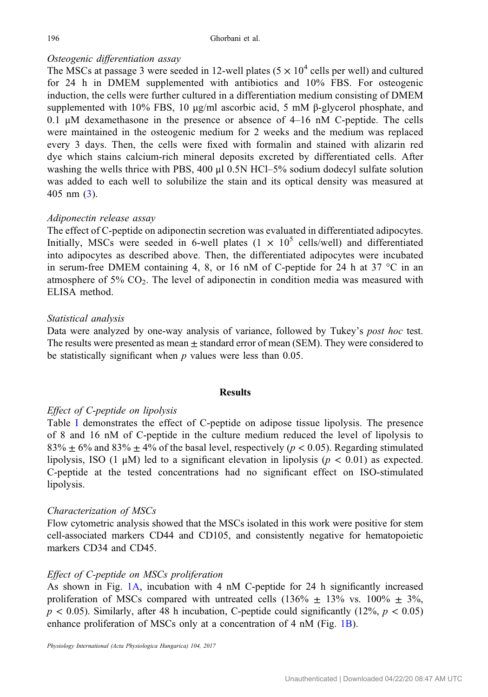# Osteogenic differentiation assay

The MSCs at passage 3 were seeded in 12-well plates  $(5 \times 10^4 \text{ cells per well})$  and cultured for 24 h in DMEM supplemented with antibiotics and 10% FBS. For osteogenic induction, the cells were further cultured in a differentiation medium consisting of DMEM supplemented with 10% FBS, 10 μg/ml ascorbic acid, 5 mM  $\beta$ -glycerol phosphate, and 0.1 μM dexamethasone in the presence or absence of 4–16 nM C-peptide. The cells were maintained in the osteogenic medium for 2 weeks and the medium was replaced every 3 days. Then, the cells were fixed with formalin and stained with alizarin red dye which stains calcium-rich mineral deposits excreted by differentiated cells. After washing the wells thrice with PBS, 400  $\mu$ l 0.5N HCl–5% sodium dodecyl sulfate solution was added to each well to solubilize the stain and its optical density was measured at 405 nm ([3\)](#page-10-0).

# Adiponectin release assay

The effect of C-peptide on adiponectin secretion was evaluated in differentiated adipocytes. Initially, MSCs were seeded in 6-well plates  $(1 \times 10^5 \text{ cells/well})$  and differentiated into adipocytes as described above. Then, the differentiated adipocytes were incubated in serum-free DMEM containing 4, 8, or 16 nM of C-peptide for 24 h at 37 °C in an atmosphere of  $5\%$  CO<sub>2</sub>. The level of adiponectin in condition media was measured with ELISA method.

## Statistical analysis

Data were analyzed by one-way analysis of variance, followed by Tukey's post hoc test. The results were presented as mean  $\pm$  standard error of mean (SEM). They were considered to be statistically significant when  $p$  values were less than 0.05.

## **Results**

# Effect of C-peptide on lipolysis

Table [I](#page-4-0) demonstrates the effect of C-peptide on adipose tissue lipolysis. The presence of 8 and 16 nM of C-peptide in the culture medium reduced the level of lipolysis to  $83\% \pm 6\%$  and  $83\% \pm 4\%$  of the basal level, respectively ( $p < 0.05$ ). Regarding stimulated lipolysis, ISO (1  $\mu$ M) led to a significant elevation in lipolysis ( $p < 0.01$ ) as expected. C-peptide at the tested concentrations had no significant effect on ISO-stimulated lipolysis.

## Characterization of MSCs

Flow cytometric analysis showed that the MSCs isolated in this work were positive for stem cell-associated markers CD44 and CD105, and consistently negative for hematopoietic markers CD34 and CD45.

# Effect of C-peptide on MSCs proliferation

As shown in Fig. [1A](#page-4-0), incubation with 4 nM C-peptide for 24 h significantly increased proliferation of MSCs compared with untreated cells  $(136\% \pm 13\% \text{ vs. } 100\% \pm 3\%$ ,  $p < 0.05$ ). Similarly, after 48 h incubation, C-peptide could significantly (12%,  $p < 0.05$ ) enhance proliferation of MSCs only at a concentration of 4 nM (Fig. [1B\)](#page-4-0).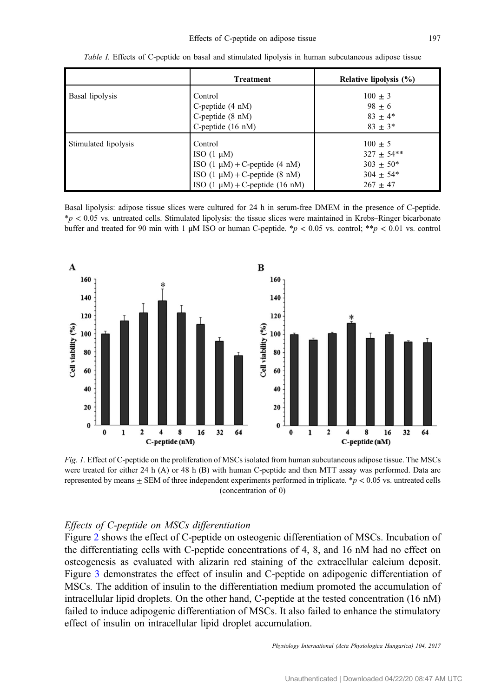<span id="page-4-0"></span>

|                      | <b>Treatment</b>                              | Relative lipolysis (%) |
|----------------------|-----------------------------------------------|------------------------|
| Basal lipolysis      | Control                                       | $100 \pm 3$            |
|                      | C-peptide $(4 \text{ nM})$                    | $98 + 6$               |
|                      | C-peptide $(8 \text{ nM})$                    | $83 \pm 4*$            |
|                      | C-peptide $(16 \text{ nM})$                   | $83 + 3*$              |
| Stimulated lipolysis | Control                                       | $100 + 5$              |
|                      | ISO $(1 \mu M)$                               | $327 \pm 54**$         |
|                      | ISO $(1 \mu M) + C$ -peptide $(4 \mu M)$      | $303 \pm 50^*$         |
|                      | ISO $(1 \mu M) + C$ -peptide $(8 \text{ nM})$ | $304 + 54*$            |
|                      | ISO $(1 \mu M)$ + C-peptide $(16 \text{ nM})$ | $267 + 47$             |

Table I. Effects of C-peptide on basal and stimulated lipolysis in human subcutaneous adipose tissue

Basal lipolysis: adipose tissue slices were cultured for 24 h in serum-free DMEM in the presence of C-peptide.  $*p < 0.05$  vs. untreated cells. Stimulated lipolysis: the tissue slices were maintained in Krebs–Ringer bicarbonate buffer and treated for 90 min with 1 μM ISO or human C-peptide. \*p < 0.05 vs. control; \*\*p < 0.01 vs. control



Fig. 1. Effect of C-peptide on the proliferation of MSCs isolated from human subcutaneous adipose tissue. The MSCs were treated for either 24 h (A) or 48 h (B) with human C-peptide and then MTT assay was performed. Data are represented by means  $\pm$  SEM of three independent experiments performed in triplicate. \* $p < 0.05$  vs. untreated cells (concentration of 0)

## Effects of C-peptide on MSCs differentiation

Figure [2](#page-5-0) shows the effect of C-peptide on osteogenic differentiation of MSCs. Incubation of the differentiating cells with C-peptide concentrations of 4, 8, and 16 nM had no effect on osteogenesis as evaluated with alizarin red staining of the extracellular calcium deposit. Figure [3](#page-6-0) demonstrates the effect of insulin and C-peptide on adipogenic differentiation of MSCs. The addition of insulin to the differentiation medium promoted the accumulation of intracellular lipid droplets. On the other hand, C-peptide at the tested concentration (16 nM) failed to induce adipogenic differentiation of MSCs. It also failed to enhance the stimulatory effect of insulin on intracellular lipid droplet accumulation.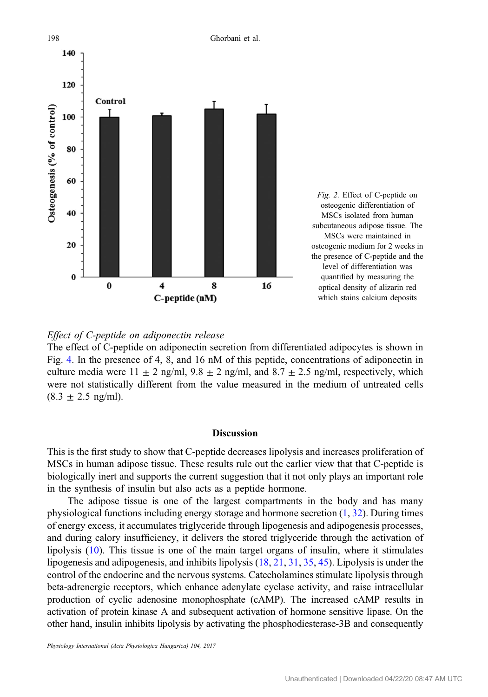<span id="page-5-0"></span>

# Effect of C-peptide on adiponectin release

The effect of C-peptide on adiponectin secretion from differentiated adipocytes is shown in Fig. [4.](#page-7-0) In the presence of 4, 8, and 16 nM of this peptide, concentrations of adiponectin in culture media were  $11 \pm 2$  ng/ml,  $9.8 \pm 2$  ng/ml, and  $8.7 \pm 2.5$  ng/ml, respectively, which were not statistically different from the value measured in the medium of untreated cells  $(8.3 \pm 2.5 \text{ ng/ml})$ .

#### **Discussion**

This is the first study to show that C-peptide decreases lipolysis and increases proliferation of MSCs in human adipose tissue. These results rule out the earlier view that that C-peptide is biologically inert and supports the current suggestion that it not only plays an important role in the synthesis of insulin but also acts as a peptide hormone.

The adipose tissue is one of the largest compartments in the body and has many physiological functions including energy storage and hormone secretion [\(1](#page-9-0), [32\)](#page-11-0). During times of energy excess, it accumulates triglyceride through lipogenesis and adipogenesis processes, and during calory insufficiency, it delivers the stored triglyceride through the activation of lipolysis ([10\)](#page-10-0). This tissue is one of the main target organs of insulin, where it stimulates lipogenesis and adipogenesis, and inhibits lipolysis [\(18](#page-10-0), [21,](#page-10-0) [31,](#page-11-0) [35](#page-11-0), [45\)](#page-11-0). Lipolysis is under the control of the endocrine and the nervous systems. Catecholamines stimulate lipolysis through beta-adrenergic receptors, which enhance adenylate cyclase activity, and raise intracellular production of cyclic adenosine monophosphate (cAMP). The increased cAMP results in activation of protein kinase A and subsequent activation of hormone sensitive lipase. On the other hand, insulin inhibits lipolysis by activating the phosphodiesterase-3B and consequently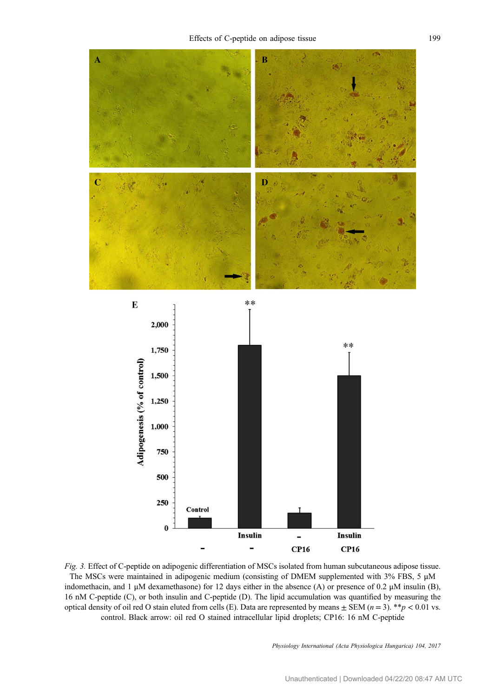<span id="page-6-0"></span>

Fig. 3. Effect of C-peptide on adipogenic differentiation of MSCs isolated from human subcutaneous adipose tissue. The MSCs were maintained in adipogenic medium (consisting of DMEM supplemented with 3% FBS, 5 μM indomethacin, and 1 μM dexamethasone) for 12 days either in the absence (A) or presence of 0.2 μM insulin (B), 16 nM C-peptide (C), or both insulin and C-peptide (D). The lipid accumulation was quantified by measuring the optical density of oil red O stain eluted from cells (E). Data are represented by means  $\pm$  SEM ( $n = 3$ ). \*\*p < 0.01 vs. control. Black arrow: oil red O stained intracellular lipid droplets; CP16: 16 nM C-peptide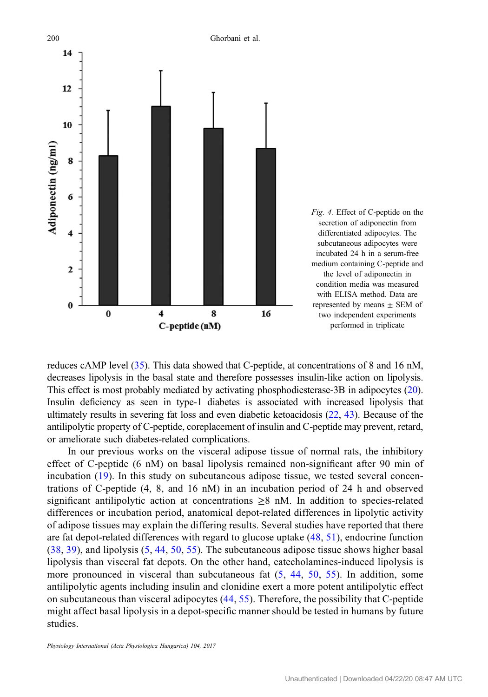<span id="page-7-0"></span>

reduces cAMP level [\(35\)](#page-11-0). This data showed that C-peptide, at concentrations of 8 and 16 nM, decreases lipolysis in the basal state and therefore possesses insulin-like action on lipolysis. This effect is most probably mediated by activating phosphodiesterase-3B in adipocytes ([20](#page-10-0)). Insulin deficiency as seen in type-1 diabetes is associated with increased lipolysis that ultimately results in severing fat loss and even diabetic ketoacidosis ([22](#page-10-0), [43\)](#page-11-0). Because of the antilipolytic property of C-peptide, coreplacement of insulin and C-peptide may prevent, retard, or ameliorate such diabetes-related complications.

In our previous works on the visceral adipose tissue of normal rats, the inhibitory effect of C-peptide (6 nM) on basal lipolysis remained non-significant after 90 min of incubation ([19\)](#page-10-0). In this study on subcutaneous adipose tissue, we tested several concentrations of C-peptide (4, 8, and 16 nM) in an incubation period of 24 h and observed significant antilipolytic action at concentrations  $\geq 8$  nM. In addition to species-related differences or incubation period, anatomical depot-related differences in lipolytic activity of adipose tissues may explain the differing results. Several studies have reported that there are fat depot-related differences with regard to glucose uptake ([48](#page-11-0), [51](#page-11-0)), endocrine function [\(38,](#page-11-0) [39\)](#page-11-0), and lipolysis ([5](#page-10-0), [44,](#page-11-0) [50,](#page-11-0) [55](#page-12-0)). The subcutaneous adipose tissue shows higher basal lipolysis than visceral fat depots. On the other hand, catecholamines-induced lipolysis is more pronounced in visceral than subcutaneous fat [\(5](#page-10-0), [44,](#page-11-0) [50,](#page-11-0) [55](#page-12-0)). In addition, some antilipolytic agents including insulin and clonidine exert a more potent antilipolytic effect on subcutaneous than visceral adipocytes ([44](#page-11-0), [55](#page-12-0)). Therefore, the possibility that C-peptide might affect basal lipolysis in a depot-specific manner should be tested in humans by future studies.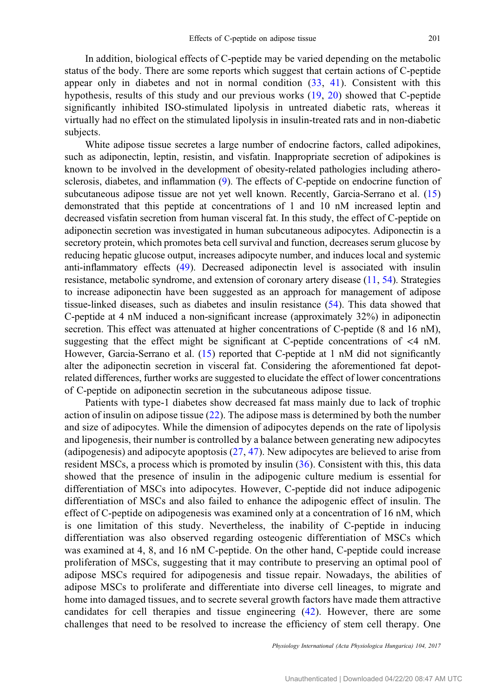In addition, biological effects of C-peptide may be varied depending on the metabolic status of the body. There are some reports which suggest that certain actions of C-peptide appear only in diabetes and not in normal condition  $(33, 41)$  $(33, 41)$  $(33, 41)$  $(33, 41)$  $(33, 41)$ . Consistent with this hypothesis, results of this study and our previous works ([19,](#page-10-0) [20](#page-10-0)) showed that C-peptide significantly inhibited ISO-stimulated lipolysis in untreated diabetic rats, whereas it virtually had no effect on the stimulated lipolysis in insulin-treated rats and in non-diabetic subjects.

White adipose tissue secretes a large number of endocrine factors, called adipokines, such as adiponectin, leptin, resistin, and visfatin. Inappropriate secretion of adipokines is known to be involved in the development of obesity-related pathologies including atherosclerosis, diabetes, and inflammation ([9\)](#page-10-0). The effects of C-peptide on endocrine function of subcutaneous adipose tissue are not yet well known. Recently, Garcia-Serrano et al. ([15\)](#page-10-0) demonstrated that this peptide at concentrations of 1 and 10 nM increased leptin and decreased visfatin secretion from human visceral fat. In this study, the effect of C-peptide on adiponectin secretion was investigated in human subcutaneous adipocytes. Adiponectin is a secretory protein, which promotes beta cell survival and function, decreases serum glucose by reducing hepatic glucose output, increases adipocyte number, and induces local and systemic anti-inflammatory effects [\(49](#page-11-0)). Decreased adiponectin level is associated with insulin resistance, metabolic syndrome, and extension of coronary artery disease ([11,](#page-10-0) [54\)](#page-12-0). Strategies to increase adiponectin have been suggested as an approach for management of adipose tissue-linked diseases, such as diabetes and insulin resistance [\(54](#page-12-0)). This data showed that C-peptide at 4 nM induced a non-significant increase (approximately 32%) in adiponectin secretion. This effect was attenuated at higher concentrations of C-peptide (8 and 16 nM), suggesting that the effect might be significant at C-peptide concentrations of  $\leq 4$  nM. However, Garcia-Serrano et al. ([15\)](#page-10-0) reported that C-peptide at 1 nM did not significantly alter the adiponectin secretion in visceral fat. Considering the aforementioned fat depotrelated differences, further works are suggested to elucidate the effect of lower concentrations of C-peptide on adiponectin secretion in the subcutaneous adipose tissue.

Patients with type-1 diabetes show decreased fat mass mainly due to lack of trophic action of insulin on adipose tissue [\(22](#page-10-0)). The adipose mass is determined by both the number and size of adipocytes. While the dimension of adipocytes depends on the rate of lipolysis and lipogenesis, their number is controlled by a balance between generating new adipocytes (adipogenesis) and adipocyte apoptosis [\(27](#page-11-0), [47\)](#page-11-0). New adipocytes are believed to arise from resident MSCs, a process which is promoted by insulin ([36](#page-11-0)). Consistent with this, this data showed that the presence of insulin in the adipogenic culture medium is essential for differentiation of MSCs into adipocytes. However, C-peptide did not induce adipogenic differentiation of MSCs and also failed to enhance the adipogenic effect of insulin. The effect of C-peptide on adipogenesis was examined only at a concentration of 16 nM, which is one limitation of this study. Nevertheless, the inability of C-peptide in inducing differentiation was also observed regarding osteogenic differentiation of MSCs which was examined at 4, 8, and 16 nM C-peptide. On the other hand, C-peptide could increase proliferation of MSCs, suggesting that it may contribute to preserving an optimal pool of adipose MSCs required for adipogenesis and tissue repair. Nowadays, the abilities of adipose MSCs to proliferate and differentiate into diverse cell lineages, to migrate and home into damaged tissues, and to secrete several growth factors have made them attractive candidates for cell therapies and tissue engineering ([42\)](#page-11-0). However, there are some challenges that need to be resolved to increase the efficiency of stem cell therapy. One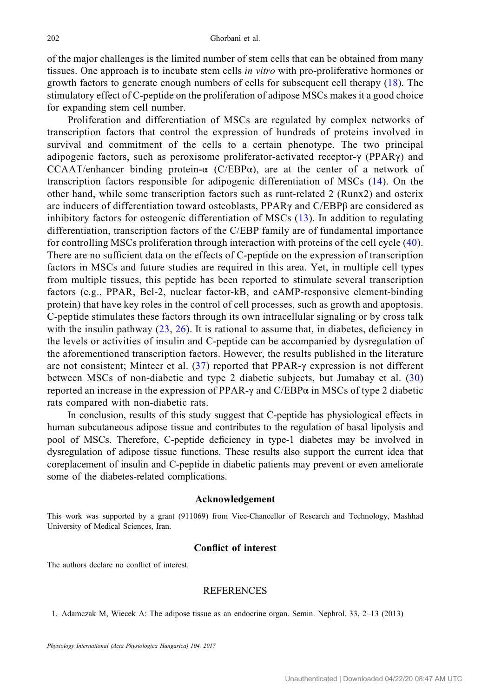<span id="page-9-0"></span>of the major challenges is the limited number of stem cells that can be obtained from many tissues. One approach is to incubate stem cells in vitro with pro-proliferative hormones or growth factors to generate enough numbers of cells for subsequent cell therapy [\(18](#page-10-0)). The stimulatory effect of C-peptide on the proliferation of adipose MSCs makes it a good choice for expanding stem cell number.

Proliferation and differentiation of MSCs are regulated by complex networks of transcription factors that control the expression of hundreds of proteins involved in survival and commitment of the cells to a certain phenotype. The two principal adipogenic factors, such as peroxisome proliferator-activated receptor-γ (PPARγ) and CCAAT/enhancer binding protein- $\alpha$  (C/EBP $\alpha$ ), are at the center of a network of transcription factors responsible for adipogenic differentiation of MSCs ([14](#page-10-0)). On the other hand, while some transcription factors such as runt-related 2 (Runx2) and osterix are inducers of differentiation toward osteoblasts, PPARγ and C/EBPβ are considered as inhibitory factors for osteogenic differentiation of MSCs ([13](#page-10-0)). In addition to regulating differentiation, transcription factors of the C/EBP family are of fundamental importance for controlling MSCs proliferation through interaction with proteins of the cell cycle ([40](#page-11-0)). There are no sufficient data on the effects of C-peptide on the expression of transcription factors in MSCs and future studies are required in this area. Yet, in multiple cell types from multiple tissues, this peptide has been reported to stimulate several transcription factors (e.g., PPAR, Bcl-2, nuclear factor-kB, and cAMP-responsive element-binding protein) that have key roles in the control of cell processes, such as growth and apoptosis. C-peptide stimulates these factors through its own intracellular signaling or by cross talk with the insulin pathway  $(23, 26)$  $(23, 26)$  $(23, 26)$ . It is rational to assume that, in diabetes, deficiency in the levels or activities of insulin and C-peptide can be accompanied by dysregulation of the aforementioned transcription factors. However, the results published in the literature are not consistent; Minteer et al. ([37](#page-11-0)) reported that PPAR-γ expression is not different between MSCs of non-diabetic and type 2 diabetic subjects, but Jumabay et al. [\(30\)](#page-11-0) reported an increase in the expression of PPAR-γ and C/EBP $\alpha$  in MSCs of type 2 diabetic rats compared with non-diabetic rats.

In conclusion, results of this study suggest that C-peptide has physiological effects in human subcutaneous adipose tissue and contributes to the regulation of basal lipolysis and pool of MSCs. Therefore, C-peptide deficiency in type-1 diabetes may be involved in dysregulation of adipose tissue functions. These results also support the current idea that coreplacement of insulin and C-peptide in diabetic patients may prevent or even ameliorate some of the diabetes-related complications.

#### Acknowledgement

This work was supported by a grant (911069) from Vice-Chancellor of Research and Technology, Mashhad University of Medical Sciences, Iran.

## Conflict of interest

The authors declare no conflict of interest.

#### REFERENCES

1. Adamczak M, Wiecek A: The adipose tissue as an endocrine organ. Semin. Nephrol. 33, 2–13 (2013)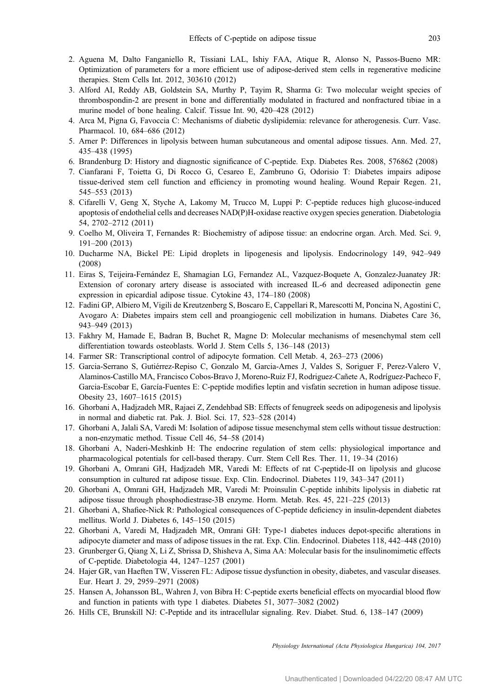- <span id="page-10-0"></span>2. Aguena M, Dalto Fanganiello R, Tissiani LAL, Ishiy FAA, Atique R, Alonso N, Passos-Bueno MR: Optimization of parameters for a more efficient use of adipose-derived stem cells in regenerative medicine therapies. Stem Cells Int. 2012, 303610 (2012)
- 3. Alford AI, Reddy AB, Goldstein SA, Murthy P, Tayim R, Sharma G: Two molecular weight species of thrombospondin-2 are present in bone and differentially modulated in fractured and nonfractured tibiae in a murine model of bone healing. Calcif. Tissue Int. 90, 420–428 (2012)
- 4. Arca M, Pigna G, Favoccia C: Mechanisms of diabetic dyslipidemia: relevance for atherogenesis. Curr. Vasc. Pharmacol. 10, 684–686 (2012)
- 5. Arner P: Differences in lipolysis between human subcutaneous and omental adipose tissues. Ann. Med. 27, 435–438 (1995)
- 6. Brandenburg D: History and diagnostic significance of C-peptide. Exp. Diabetes Res. 2008, 576862 (2008)
- 7. Cianfarani F, Toietta G, Di Rocco G, Cesareo E, Zambruno G, Odorisio T: Diabetes impairs adipose tissue-derived stem cell function and efficiency in promoting wound healing. Wound Repair Regen. 21, 545–553 (2013)
- 8. Cifarelli V, Geng X, Styche A, Lakomy M, Trucco M, Luppi P: C-peptide reduces high glucose-induced apoptosis of endothelial cells and decreases NAD(P)H-oxidase reactive oxygen species generation. Diabetologia 54, 2702–2712 (2011)
- 9. Coelho M, Oliveira T, Fernandes R: Biochemistry of adipose tissue: an endocrine organ. Arch. Med. Sci. 9, 191–200 (2013)
- 10. Ducharme NA, Bickel PE: Lipid droplets in lipogenesis and lipolysis. Endocrinology 149, 942–949 (2008)
- 11. Eiras S, Teijeira-Fernández E, Shamagian LG, Fernandez AL, Vazquez-Boquete A, Gonzalez-Juanatey JR: Extension of coronary artery disease is associated with increased IL-6 and decreased adiponectin gene expression in epicardial adipose tissue. Cytokine 43, 174–180 (2008)
- 12. Fadini GP, Albiero M, Vigili de Kreutzenberg S, Boscaro E, Cappellari R, Marescotti M, Poncina N, Agostini C, Avogaro A: Diabetes impairs stem cell and proangiogenic cell mobilization in humans. Diabetes Care 36, 943–949 (2013)
- 13. Fakhry M, Hamade E, Badran B, Buchet R, Magne D: Molecular mechanisms of mesenchymal stem cell differentiation towards osteoblasts. World J. Stem Cells 5, 136–148 (2013)
- 14. Farmer SR: Transcriptional control of adipocyte formation. Cell Metab. 4, 263–273 (2006)
- 15. Garcia-Serrano S, Gutiérrez-Repiso C, Gonzalo M, Garcia-Arnes J, Valdes S, Soriguer F, Perez-Valero V, Alaminos-Castillo MA, Francisco Cobos-Bravo J, Moreno-Ruiz FJ, Rodríguez-Cañete A, Rodríguez-Pacheco F, Garcia-Escobar E, García-Fuentes E: C-peptide modifies leptin and visfatin secretion in human adipose tissue. Obesity 23, 1607–1615 (2015)
- 16. Ghorbani A, Hadjzadeh MR, Rajaei Z, Zendehbad SB: Effects of fenugreek seeds on adipogenesis and lipolysis in normal and diabetic rat. Pak. J. Biol. Sci. 17, 523–528 (2014)
- 17. Ghorbani A, Jalali SA, Varedi M: Isolation of adipose tissue mesenchymal stem cells without tissue destruction: a non-enzymatic method. Tissue Cell 46, 54–58 (2014)
- 18. Ghorbani A, Naderi-Meshkinb H: The endocrine regulation of stem cells: physiological importance and pharmacological potentials for cell-based therapy. Curr. Stem Cell Res. Ther. 11, 19–34 (2016)
- 19. Ghorbani A, Omrani GH, Hadjzadeh MR, Varedi M: Effects of rat C-peptide-II on lipolysis and glucose consumption in cultured rat adipose tissue. Exp. Clin. Endocrinol. Diabetes 119, 343–347 (2011)
- 20. Ghorbani A, Omrani GH, Hadjzadeh MR, Varedi M: Proinsulin C-peptide inhibits lipolysis in diabetic rat adipose tissue through phosphodiestrase-3B enzyme. Horm. Metab. Res. 45, 221–225 (2013)
- 21. Ghorbani A, Shafiee-Nick R: Pathological consequences of C-peptide deficiency in insulin-dependent diabetes mellitus. World J. Diabetes 6, 145–150 (2015)
- 22. Ghorbani A, Varedi M, Hadjzadeh MR, Omrani GH: Type-1 diabetes induces depot-specific alterations in adipocyte diameter and mass of adipose tissues in the rat. Exp. Clin. Endocrinol. Diabetes 118, 442–448 (2010)
- 23. Grunberger G, Qiang X, Li Z, Sbrissa D, Shisheva A, Sima AA: Molecular basis for the insulinomimetic effects of C-peptide. Diabetologia 44, 1247–1257 (2001)
- 24. Hajer GR, van Haeften TW, Visseren FL: Adipose tissue dysfunction in obesity, diabetes, and vascular diseases. Eur. Heart J. 29, 2959–2971 (2008)
- 25. Hansen A, Johansson BL, Wahren J, von Bibra H: C-peptide exerts beneficial effects on myocardial blood flow and function in patients with type 1 diabetes. Diabetes 51, 3077–3082 (2002)
- 26. Hills CE, Brunskill NJ: C-Peptide and its intracellular signaling. Rev. Diabet. Stud. 6, 138–147 (2009)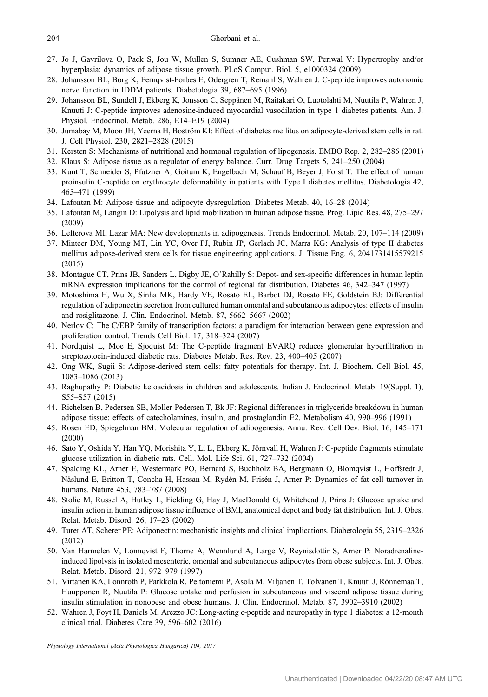- <span id="page-11-0"></span>27. Jo J, Gavrilova O, Pack S, Jou W, Mullen S, Sumner AE, Cushman SW, Periwal V: Hypertrophy and/or hyperplasia: dynamics of adipose tissue growth. PLoS Comput. Biol. 5, e1000324 (2009)
- 28. Johansson BL, Borg K, Fernqvist-Forbes E, Odergren T, Remahl S, Wahren J: C-peptide improves autonomic nerve function in IDDM patients. Diabetologia 39, 687–695 (1996)
- 29. Johansson BL, Sundell J, Ekberg K, Jonsson C, Seppänen M, Raitakari O, Luotolahti M, Nuutila P, Wahren J, Knuuti J: C-peptide improves adenosine-induced myocardial vasodilation in type 1 diabetes patients. Am. J. Physiol. Endocrinol. Metab. 286, E14–E19 (2004)
- 30. Jumabay M, Moon JH, Yeerna H, Boström KI: Effect of diabetes mellitus on adipocyte-derived stem cells in rat. J. Cell Physiol. 230, 2821–2828 (2015)
- 31. Kersten S: Mechanisms of nutritional and hormonal regulation of lipogenesis. EMBO Rep. 2, 282–286 (2001)
- 32. Klaus S: Adipose tissue as a regulator of energy balance. Curr. Drug Targets 5, 241–250 (2004)
- 33. Kunt T, Schneider S, Pfutzner A, Goitum K, Engelbach M, Schauf B, Beyer J, Forst T: The effect of human proinsulin C-peptide on erythrocyte deformability in patients with Type I diabetes mellitus. Diabetologia 42, 465–471 (1999)
- 34. Lafontan M: Adipose tissue and adipocyte dysregulation. Diabetes Metab. 40, 16–28 (2014)
- 35. Lafontan M, Langin D: Lipolysis and lipid mobilization in human adipose tissue. Prog. Lipid Res. 48, 275–297 (2009)
- 36. Lefterova MI, Lazar MA: New developments in adipogenesis. Trends Endocrinol. Metab. 20, 107–114 (2009)
- 37. Minteer DM, Young MT, Lin YC, Over PJ, Rubin JP, Gerlach JC, Marra KG: Analysis of type II diabetes mellitus adipose-derived stem cells for tissue engineering applications. J. Tissue Eng. 6, 2041731415579215 (2015)
- 38. Montague CT, Prins JB, Sanders L, Digby JE, O'Rahilly S: Depot- and sex-specific differences in human leptin mRNA expression implications for the control of regional fat distribution. Diabetes 46, 342–347 (1997)
- 39. Motoshima H, Wu X, Sinha MK, Hardy VE, Rosato EL, Barbot DJ, Rosato FE, Goldstein BJ: Differential regulation of adiponectin secretion from cultured human omental and subcutaneous adipocytes: effects of insulin and rosiglitazone. J. Clin. Endocrinol. Metab. 87, 5662–5667 (2002)
- 40. Nerlov C: The C/EBP family of transcription factors: a paradigm for interaction between gene expression and proliferation control. Trends Cell Biol. 17, 318–324 (2007)
- 41. Nordquist L, Moe E, Sjoquist M: The C-peptide fragment EVARQ reduces glomerular hyperfiltration in streptozotocin-induced diabetic rats. Diabetes Metab. Res. Rev. 23, 400–405 (2007)
- 42. Ong WK, Sugii S: Adipose-derived stem cells: fatty potentials for therapy. Int. J. Biochem. Cell Biol. 45, 1083–1086 (2013)
- 43. Raghupathy P: Diabetic ketoacidosis in children and adolescents. Indian J. Endocrinol. Metab. 19(Suppl. 1), S55–S57 (2015)
- 44. Richelsen B, Pedersen SB, Moller-Pedersen T, Bk JF: Regional differences in triglyceride breakdown in human adipose tissue: effects of catecholamines, insulin, and prostaglandin E2. Metabolism 40, 990–996 (1991)
- 45. Rosen ED, Spiegelman BM: Molecular regulation of adipogenesis. Annu. Rev. Cell Dev. Biol. 16, 145–171 (2000)
- 46. Sato Y, Oshida Y, Han YQ, Morishita Y, Li L, Ekberg K, Jörnvall H, Wahren J: C-peptide fragments stimulate glucose utilization in diabetic rats. Cell. Mol. Life Sci. 61, 727–732 (2004)
- 47. Spalding KL, Arner E, Westermark PO, Bernard S, Buchholz BA, Bergmann O, Blomqvist L, Hoffstedt J, Näslund E, Britton T, Concha H, Hassan M, Rydén M, Frisén J, Arner P: Dynamics of fat cell turnover in humans. Nature 453, 783–787 (2008)
- 48. Stolic M, Russel A, Hutley L, Fielding G, Hay J, MacDonald G, Whitehead J, Prins J: Glucose uptake and insulin action in human adipose tissue influence of BMI, anatomical depot and body fat distribution. Int. J. Obes. Relat. Metab. Disord. 26, 17–23 (2002)
- 49. Turer AT, Scherer PE: Adiponectin: mechanistic insights and clinical implications. Diabetologia 55, 2319–2326 (2012)
- 50. Van Harmelen V, Lonnqvist F, Thorne A, Wennlund A, Large V, Reynisdottir S, Arner P: Noradrenalineinduced lipolysis in isolated mesenteric, omental and subcutaneous adipocytes from obese subjects. Int. J. Obes. Relat. Metab. Disord. 21, 972–979 (1997)
- 51. Virtanen KA, Lonnroth P, Parkkola R, Peltoniemi P, Asola M, Viljanen T, Tolvanen T, Knuuti J, Rönnemaa T, Huupponen R, Nuutila P: Glucose uptake and perfusion in subcutaneous and visceral adipose tissue during insulin stimulation in nonobese and obese humans. J. Clin. Endocrinol. Metab. 87, 3902–3910 (2002)
- 52. Wahren J, Foyt H, Daniels M, Arezzo JC: Long-acting c-peptide and neuropathy in type 1 diabetes: a 12-month clinical trial. Diabetes Care 39, 596–602 (2016)